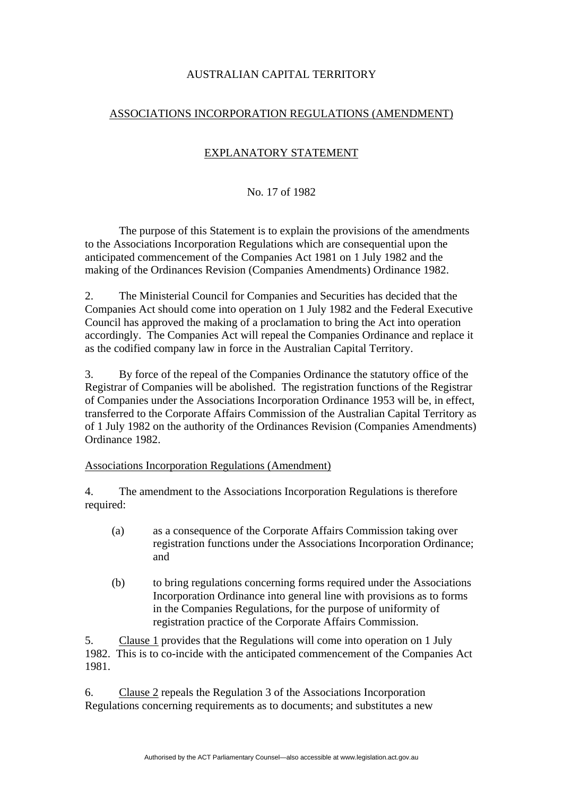## AUSTRALIAN CAPITAL TERRITORY

## ASSOCIATIONS INCORPORATION REGULATIONS (AMENDMENT)

## EXPLANATORY STATEMENT

## No. 17 of 1982

 The purpose of this Statement is to explain the provisions of the amendments to the Associations Incorporation Regulations which are consequential upon the anticipated commencement of the Companies Act 1981 on 1 July 1982 and the making of the Ordinances Revision (Companies Amendments) Ordinance 1982.

2. The Ministerial Council for Companies and Securities has decided that the Companies Act should come into operation on 1 July 1982 and the Federal Executive Council has approved the making of a proclamation to bring the Act into operation accordingly. The Companies Act will repeal the Companies Ordinance and replace it as the codified company law in force in the Australian Capital Territory.

3. By force of the repeal of the Companies Ordinance the statutory office of the Registrar of Companies will be abolished. The registration functions of the Registrar of Companies under the Associations Incorporation Ordinance 1953 will be, in effect, transferred to the Corporate Affairs Commission of the Australian Capital Territory as of 1 July 1982 on the authority of the Ordinances Revision (Companies Amendments) Ordinance 1982.

Associations Incorporation Regulations (Amendment)

4. The amendment to the Associations Incorporation Regulations is therefore required:

- (a) as a consequence of the Corporate Affairs Commission taking over registration functions under the Associations Incorporation Ordinance; and
- (b) to bring regulations concerning forms required under the Associations Incorporation Ordinance into general line with provisions as to forms in the Companies Regulations, for the purpose of uniformity of registration practice of the Corporate Affairs Commission.

5. Clause 1 provides that the Regulations will come into operation on 1 July 1982. This is to co-incide with the anticipated commencement of the Companies Act 1981.

6. Clause 2 repeals the Regulation 3 of the Associations Incorporation Regulations concerning requirements as to documents; and substitutes a new